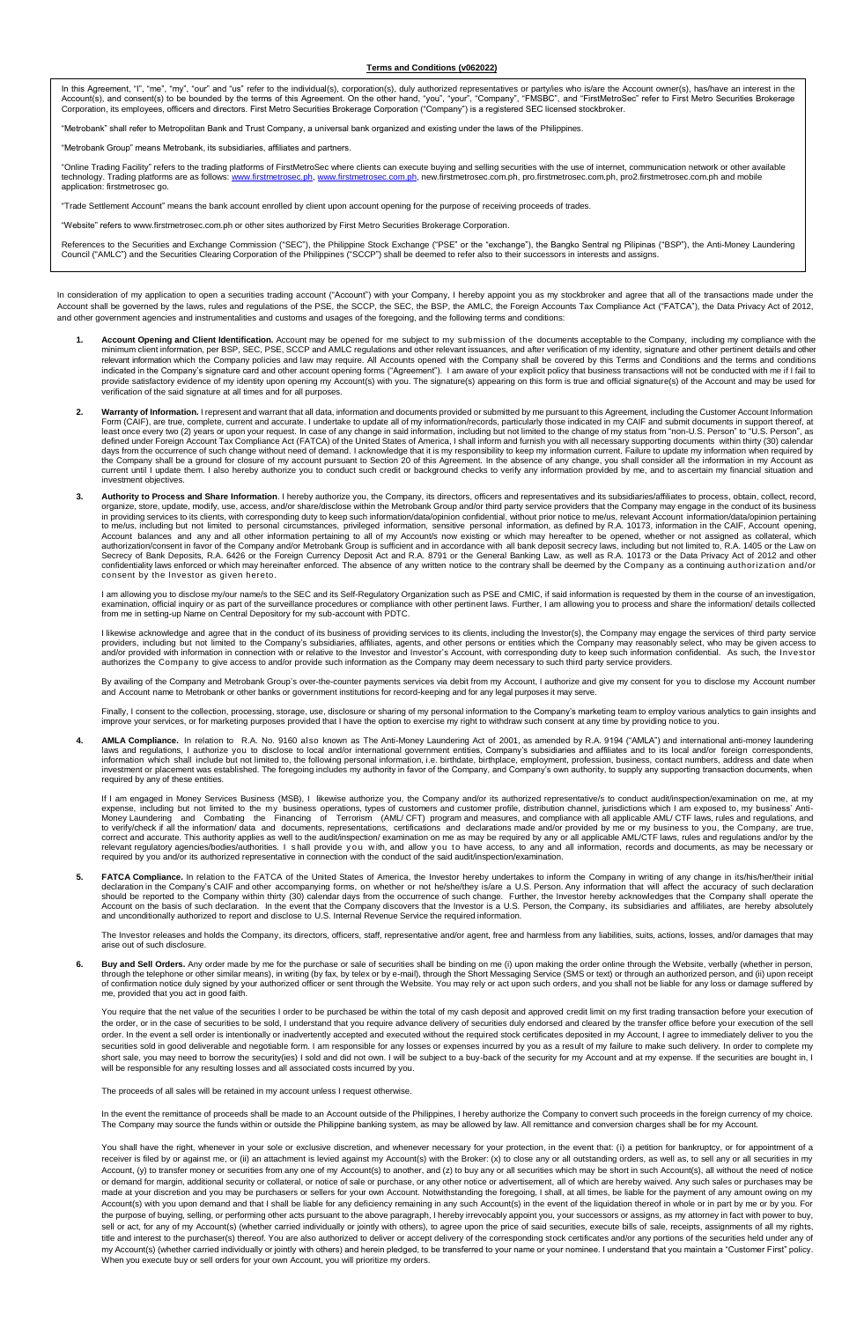#### **Terms and Conditions (v062022)**

In this Agreement, "I", "me", "my", "our" and "us" refer to the individual(s), corporation(s), duly authorized representatives or party/ies who is/are the Account owner(s), has/have an interest in the Account(s), and consent(s) to be bounded by the terms of this Agreement. On the other hand, "you", "your", "Company", "FMSBC", and "FirstMetroSec" refer to First Metro Securities Brokerage<br>Corporation, its employees, offic

robank" shall refer to Metropolitan Bank and Trust Company, a universal bank organized and existing under the laws of the Philippine

"Metrobank Group" means Metrobank, its subsidiaries, affiliates and partners."

"Online Trading Facility" refers to the trading platforms of FirstMetroSec where clients can execute buying and selling securities with the use of internet, communication network or other available<br>technology. Trading plat application: firstmetrosec go.

unt" means the bank account enrolled by client upon account opening for the purpose of receiving proceeds of trades

"Website" refers to www.firstmetrosec.com.ph or other sites authorized by First Metro Securities Brokerage Corporation.

References to the Securities and Exchange Commission ("SEC"), the Philippine Stock Exchange ("PSE" or the "exchange"), the Bangko Sentral ng Pilipinas ("BSP"), the Anti-Money Laundering<br>Council ("AMLC") and the Securities

In consideration of my application to open a securities trading account ("Account") with your Company, I hereby appoint you as my stockbroker and agree that all of the transactions made under the Account shall be governed by the laws, rules and regulations of the PSE, the SCCP, the SEC, the BSP, the AMLC, the Foreign Accounts Tax Compliance Act ("FATCA"), the Data Privacy Act of 2012,<br>and other government agencies

- Account Opening and Client Identification. Account may be opened for me subject to my submission of the documents acceptable to the Company, including my compliance with the minimum client information, per BSP, SEC, PSE, SCCP and AMLC regulations and other relevant issuances, and after verification of my identity, signature and other pertinent details and other<br>relevant information which the C indicated in the Company's signature card and other account opening forms ("Agreement"). I am aware of your explicit policy that business transactions will not be conducted with me if I fail to provide satisfactory evidence of my identity upon opening my Account(s) with you. The signature(s) appearing on this form is true and official signature(s) of the Account and may be used for<br>verification of the said signat
- 2. Warranty of Information. I represent and warrant that all data, information and documents provided or submitted by me pursuant to this Agreement, including the Customer Account Information<br>Form (CAIF), are true, complet the Company shall be a ground for closure of my account pursuant to Section 20 of this Agreement. In the absence of any change, you shall consider all the information in my Account as<br>current until I update them. I also he vestment objectives.
- **3. Authority to Process and Share Information**. I hereby authorize you, the Company, its directors, officers and representatives and its subsidiaries/affiliates to process, obtain, collect, record,<br>organize, store, update to me/us, including but not limited to personal circumstances, privileged information, sensitive personal information, as defined by R.A. 10173, information in the CAIF, Account opening, Account balances and any and all other information pertaining to all of my Account/s now existing or which may hereafter to be opened, whether or not assigned as collateral, which<br>authorization/consent in favor of the Comp consent by the Investor as given hereto.

I am allowing you to disclose my/our name/s to the SEC and its Self-Regulatory Organization such as PSE and CMIC, if said information is requested by them in the course of an investigation,<br>examination, official inquiry o

l likewise acknowledge and agree that in the conduct of its business of providing services to its clients, including the Investor(s), the Company may engage the services of third party service<br>providers, including but not authorizes the Company to give access to and/or provide such information as the Company may deem necessary to such third party service providers.

By availing of the Company and Metrobank Group's over-the-counter payments services via debit from my Account, I authorize and give my consent for you to disclose my Account number<br>and Account name to Metrobank or other ba

Finally, I consent to the collection, processing, storage, use, disclosure or sharing of my personal information to the Company's marketing team to employ various analytics to gain insights and improve your services, or for marketing purposes provided that I have the option to exercise my right to withdraw such consent at any time by providing notice to you.

**4. AMLA Compliance.** In relation to R.A. No. 9160 also known as The Anti-Money Laundering Act of 2001, as amended by R.A. 9194 ("AMLA") and international anti-money laundering laws and regulations, I authorize you to disclose to local and/or international government entities, Company's subsidiaries and affiliates and to its local and/or foreign correspondents,<br>information which shall include but

If I am engaged in Money Services Business (MSB), I likewise authorize you, the Company and/or its authorized representative/s to conduct audit/inspection/examination on me, at my expense, including but not limited to the relevant regulatory agencies/bodies/authorities. I shall provide you with, and allow you to have access, to any and all information, records and documents, as may be necessary or equired by you and/or its authorized repres

**5.** FATCA Compliance. In relation to the FATCA of the United States of America, the Investor hereby undertakes to inform the Company in writing of any change in its/his/her/their initial declaration in the Company's CAIF

The Investor releases and holds the Company, its directors, officers, staff, representative and/or agent, free and harmless from any liabilities, suits, actions, losses, and/or damages that may arise out of such disclosure.

**6. Buy and Sell Orders.** Any order made by me for the purchase or sale of securities shall be binding on me (i) upon making the order online through the Website, verbally (whether in person,<br>through the Shall), through th me, provided that you act in good faith.

You require that the net value of the securities I order to be purchased be within the total of my cash deposit and approved credit limit on my first trading transaction before your execution of the order, or in the case of securities to be sold, I understand that you require advance delivery of securities duly endorsed and cleared by the transfer office before your execution of the sell order. In the event a sell order is intentionally or inadvertently accepted and executed without the required stock certificates deposited in my Account, I agree to immediately deliver to you the securities sold in good deliverable and negotiable form. I am responsible for any losses or expenses incurred by you as a result of my failure to make such delivery. In order to complete my short sale, you may need to borrow the security(ies) I sold and did not own. I will be subject to a buy-back of the security for my Account and at my expense. If the securities are bought in, I will be responsible for any resulting losses and all associated costs incurred by you.

The proceeds of all sales will be retained in my account unless I request oth

In the event the remittance of proceeds shall be made to an Account outside of the Philippines, I hereby authorize the Company to convert such proceeds in the foreign currency of my choice. The Company may source the funds within or outside the Philippine banking system, as may be allowed by law. All remittance and conversion charges shall be for my Account

You shall have the right, whenever in your sole or exclusive discretion, and whenever necessary for your protection, in the event that: (i) a petition for bankruptcy, or for appointment of a<br>receiver is filed by or against Account, (y) to transfer money or securities from any one of my Account(s) to another, and (z) to buy any or all securities which may be short in such Account(s), all without the need of notice or demand for margin, additional security or collateral, or notice of sale or purchase, or any other notice or advertisement, all of which are hereby waived. Any such sales or purchases may be made at your discretion and you may be purchasers or sellers for your own Account. Notwithstanding the foregoing, I shall, at all times, be liable for the payment of any amount owing on my Account(s) with you upon demand and that I shall be liable for any deficiency remaining in any such Account(s) in the event of the liquidation thereof in whole or in part by me or by you. For the purpose of buying, selling, or performing other acts pursuant to the above paragraph, I hereby irrevocably appoint you, your successors or assigns, as my attorney in fact with power to buy, sell or act, for any of my Account(s) (whether carried individually or jointly with others), to agree upon the price of said securities, execute bills of sale, receipts, assignments of all my rights, title and interest to the purchaser(s) thereof. You are also authorized to deliver or accept delivery of the corresponding stock certificates and/or any portions of the securities held under any of my Account(s) (whether carried individually or jointly with others) and herein pledged, to be transferred to your name or your nominee. I understand that you maintain a "Customer First" policy. When you execute buy or sell orders for your own Account, you will prioritize my orders.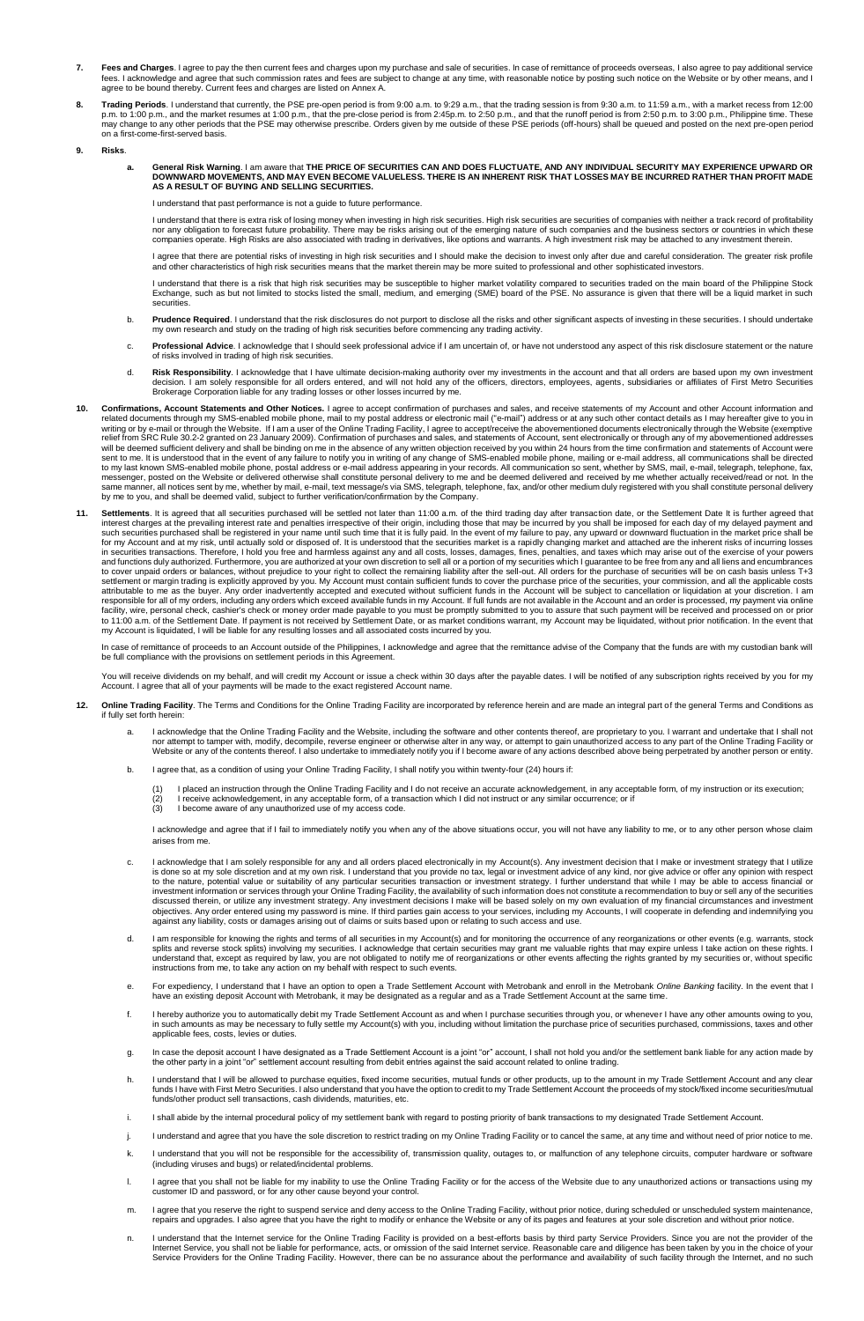- **7. Fees and Charges**. I agree to pay the then current fees and charges upon my purchase and sale of securities. In case of remittance of proceeds overseas, I also agree to pay additional service<br>fees. I acknowledge and ag
- 8. Trading Periods. I understand that currently, the PSE pre-open period is from 9:00 a.m. to 9:29 a.m., that the trading session is from 9:30 a.m. to 11:59 a.m., with a market recess from 12:00<br>p.m. to 1:00 p.m., and the on a first-come-first-served basis.
- **9. Risks**.
- a. General Risk Warning. I am aware that THE PRICE OF SECURITIES CAN AND DOES FLUCTUATE, AND ANY INDIVIDUAL SECURITY MAY EXPERIENCE UPWARD OR<br>DOWNWARD MOVEMENTS, AND MAY EVEN BECOME VALUELESS. THERE IS AN INHERENT RISK THA **AS A RESULT OF BUYING AND SELLING SECURITIES.**

I understand that past performance is not a guide to future performance.

I understand that there is extra risk of losing money when investing in high risk securities. High risk securities are securities of companies with neither a track record of profitability nor any obligation to forecast future probability. There may be risks arising out of the emerging nature of such companies and the business sectors or countries in which these<br>companies operate. High Risks are also associa

I agree that there are potential risks of investing in high risk securities and I should make the decision to invest only after due and careful consideration. The greater risk profile and other characteristics of high risk securities means that the market therein may be more suited to professional and other sophisticated investors.

I understand that there is a risk that high risk securities may be susceptible to higher market volatility compared to securities traded on the main board of the Philippine Stock<br>Exchange, such as but not limited to stocks securities.

- b. Prudence Required. I understand that the risk disclosures do not purport to disclose all the risks and other significant aspects of investing in these securities. I should undertake<br>my own research and study on the trad
- c. Professional Advice. I acknowledge that I should seek professional advice if I am uncertain of, or have not understood any aspect of this risk disclosure statement or the nature<br>of risks involved in trading of high risk
- d. Risk Responsibility. I acknowledge that I have ultimate decision-making authority over my investments in the account and that all orders are based upon my own investment<br>decision. I am solely responsible for all orders
- 10. Confirmations, Account Statements and Other Notices. I agree to accept confirmation of purchases and sales, and receive statements of my Account and other Account information and<br>related documents through my SMS-enable
- 11. Settlements. It is agreed that all securities purchased will be settled not later than 11:00 a.m. of the third trading day after transaction date, or the Settlement Date It is further agreed that<br>interest charges at th responsible for all of my orders, including any orders which exceed available funds in my Account. If full funds are not available in the Account and an order is processed, my payment via online<br>facility, wire, personal ch

In case of remittance of proceeds to an Account outside of the Philippines, I acknowledge and agree that the remittance advise of the Company that the funds are with my custodian bank will<br>be full compliance with the provi

You will receive dividends on my behalf, and will credit my Account or issue a check within 30 days after the payable dates. I will be notified of any subscription rights received by you for my<br>Account. I agree that all of

- **12. Online Trading Facility**. The Terms and Conditions for the Online Trading Facility are incorporated by reference herein and are made an integral part of the general Terms and Conditions as if fully set forth herein:
	- a. I acknowledge that the Online Trading Facility and the Website, including the software and other contents thereof, are proprietary to you. I warrant and undertake that I shall not nor attempt to tamper with, modify, decompile, reverse engineer or otherwise alter in any way, or attempt to gain unauthorized access to any part of the Online Trading Facility or<br>Website or any of the contents thereof. I
	- b. I agree that, as a condition of using your Online Trading Facility, I shall notify you within twenty-four (24) hours if:
		- (1) I placed an instruction through the Online Trading Facility and I do not receive an accurate acknowledgement, in any acceptable form, of my instruction or its execution;<br>(2) I receive acknowledgement, in any accepta
		-
		-

I acknowledge and agree that if I fail to immediately notify you when any of the above situations occur, you will not have any liability to me, or to any other person whose claim arises from me.

- I acknowledge that I am solely responsible for any and all orders placed electronically in my Account(s). Any investment decision that I make or investment strategy that I utilize is done so at my sole discretion and at my own risk. I understand that you provide no tax, legal or investment advice of any kind, nor give advice or offer any opinion with respect<br>to the nature, potential value or suitabi against any liability, costs or damages arising out of claims or suits based upon or relating to such access and use.
- d. I am responsible for knowing the rights and terms of all securities in my Account(s) and for monitoring the occurrence of any reorganizations or other events (e.g. warrants, stock<br>splits and reverse stock splits) involv
- e. For expediency, I understand that I have an option to open a Trade Settlement Account with Metrobank and enroll in the Metrobank Online Banking facility. In the event that I<br>have an existing deposit Account with Metroba
- f. I hereby authorize you to automatically debit my Trade Settlement Account as and when I purchase securities through you, or whenever I have any other amounts owing to you, in such amounts as may be necessary to fully settle my Account(s) with you, including without limitation the purchase price of securities purchased, commissions, taxes and other applicable fees, costs, levies or duties.
- g. In case the deposit account I have designated as a Trade Settlement Account is a joint "or" account, I shall not hold you and/or the settlement bank liable for any action made by<br>the other party in a joint "or" settleme
- h. I understand that I will be allowed to purchase equities, fixed income securities, mutual funds or other products, up to the amount in my Trade Settlement Account and any clear<br>funds I have with First Metro Securities. funds/other product sell transactions, cash dividends, maturities, etc.
- i. I shall abide by the internal procedural policy of my settlement bank with regard to posting priority of bank transactions to my designated Trade Settlement .
- j. I understand and agree that you have the sole discretion to restrict trading on my Online Trading Facility or to cancel the same, at any time and without need of prior notice to me.
- k. I understand that you will not be responsible for the accessibility of, transmission quality, outages to, or malfunction of any telephone circuits, computer hardware or software (including viruses and bugs) or related/incidental problems.
- l. I agree that you shall not be liable for my inability to use the Online Trading Facility or for the access of the Website due to any unauthorized actions or transactions using my customer ID and password, or for any other cause beyond your control.
- m. I agree that you reserve the right to suspend service and deny access to the Online Trading Facility, without prior notice, during scheduled or unscheduled system maintenance,<br>repairs and upgrades. I also agree that you
- n. I understand that the Internet service for the Online Trading Facility is provided on a best-efforts basis by third party Service Providers. Since you are not the provider of the Internet Service, you shall not be liable for performance, acts, or omission of the said Internet service. Reasonable care and diligence has been taken by you in the choice of your<br>Service Providers for the Online Trading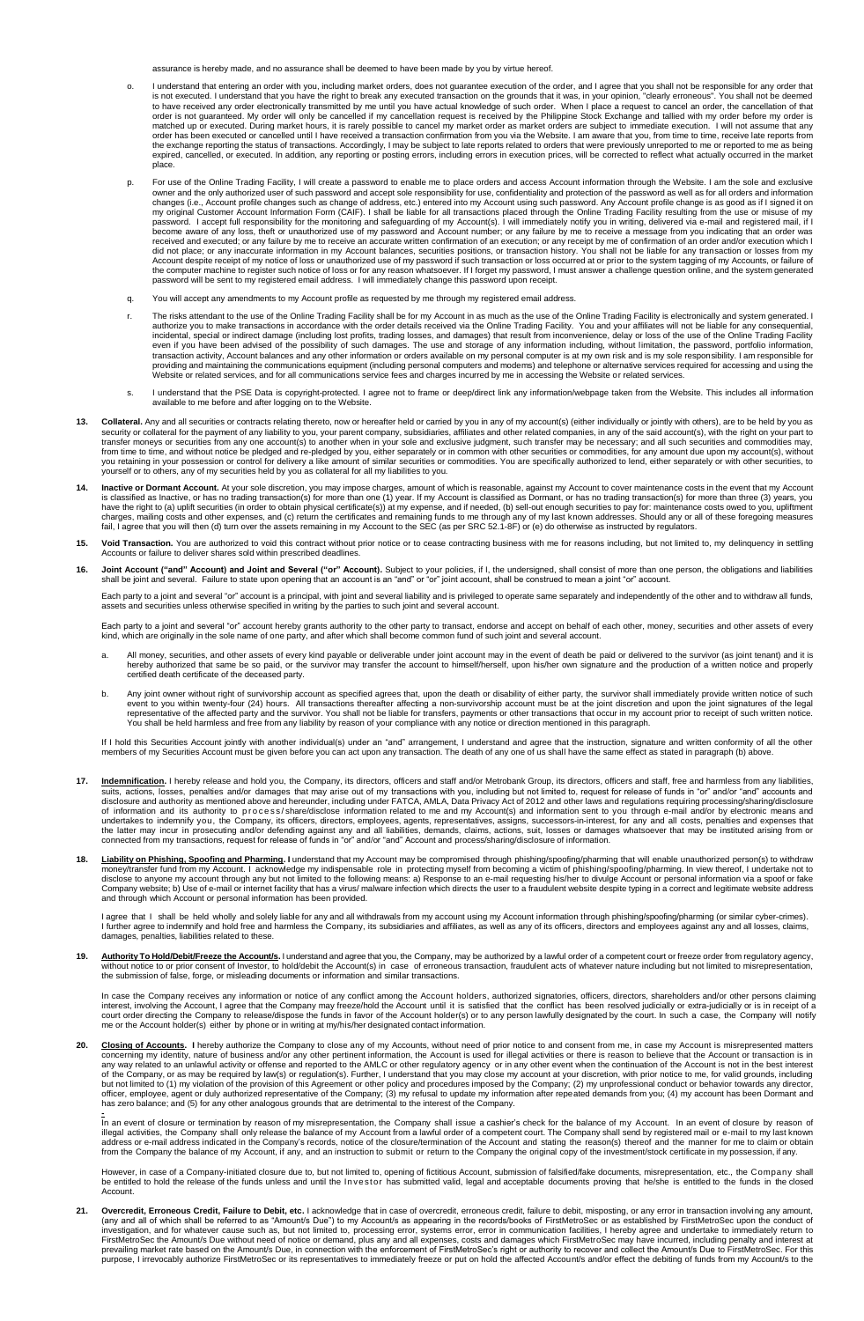assurance is hereby made, and no assurance shall be deemed to have been made by you by virtue hereof.

- o. I understand that entering an order with you, including market orders, does not guarantee execution of the order, and I agree that you shall not be responsible for any order that is not execution some that is not execut matched up or executed. During market hours, it is rarely possible to cancel my market order as market orders are subject to immediate execution. I will not assume that any<br>order has been executed or cancelled until I have place.
- p. For use of the Online Trading Facility, I will create a password to enable me to place orders and access Account information through the Website. I am the sole and exclusive owner and the only authorized user of such pa become aware of any loss, theft or unauthorized use of my password and Account number; or any failure by me to receive a message from you indicating that an order was<br>received and executed; or any failure by me to receive password will be sent to my registered email address. I will immediately change this password upon receipt.
- q. You will accept any amendments to my Account profile as requested by me through my registered email address.
- The risks attendant to the use of the Online Trading Facility shall be for my Account in as much as the use of the Online Trading Facility is electronically and system generated. I<br>authorize you to make transactions in acc
- s. I understand that the PSE Data is copyright-protected. I agree not to frame or deep/direct link any information/webpage taken from the Website. This includes all information<br>available to me before and after logging on t
- 13. Collateral. Any and all securities or contracts relating thereto, now or hereafter held or carried by you in any of my account(s) (either individually or jointly with others), are to be held by you as<br>security or colla transfer moneys or securities from any one account(s) to another when in your sole and exclusive judgment, such transfer may be necessary; and all such securities and commodities may,<br>from time to time, and without notice
- **14.** Inactive or Dormant Account. At your sole discretion, you may impose charges, amount of which is reasonable, against my Account to cover maintenance costs in the event that my Account is dashified as Inactive, or has
- **15. Void Transaction.** You are authorized to void this contract without prior notice or to cease contracting business with me for reasons including, but not limited to, my delinquency in settling nts or failure to deliver shares sold within prescribed deadlines
- 16. Joint Account ("and" Account) and Joint and Several ("or" Account). Subject to your policies, if I, the undersigned, shall consist of more than one person, the obligations and liabilities<br>Shall be joint and several. Fa

Each party to a ioint and several "or" account is a principal, with joint and several liability and is privileged to operate same separately and independently of the other and to withdraw all funds, assets and securities unless otherwise specified in writing by the parties to such joint and several account.

Each party to a joint and several "or" account hereby grants authority to the other party to transact, endorse and accept on behalf of each other, money, securities and other assets of every kind, which are originally in the sole name of one party, and after which shall become common fund of such joint and several account.

- a. All money, securities, and other assets of every kind payable or deliverable under joint account may in the event of death be paid or delivered to the survivor (as joint tenant) and it is<br>hereby authorized that same be
- b. Any joint owner without right of survivorship account as specified agrees that, upon the death or disability of either party, the survivor shall immediately provide written notice of such<br>event to you within twenty-four You shall be held harmless and free from any liability by reason of your compliance with any notice or direction mentioned in this paragraph.

If I hold this Securities Account jointly with another individual(s) under an "and" arrangement, I understand and agree that the instruction, signature and written conformity of all the other<br>members of my Securities Accou

- **17.** Indemnification. I hereby release and hold you, the Company, its directors, officers and staff and/or Metrobank Group, its directors, officers and staff, free and harmless from any liabilities, suits, actions, losses
- Liability on Phishing, Spoofing and Pharming. I understand that my Account may be compromised through phishing/spoofing/pharming that will enable unauthorized person(s) to withdraw money/transfer fund from my Account. I acknowledge my indispensable role in protecting myself from becoming a victim of phishing/spoofing/pharming. In view thereof, I undertake not to<br>disclose to anyone my account through

l agree that I shall be held wholly and solely liable for any and all withdrawals from my account using my Account information through phishing/spoofing/pharming (or similar cyber-crimes).<br>I further agree to indemnify and

19. Authority To Hold/Debit/Freeze the Account/s. I understand and agree that you, the Company, may be authorized by a lawful order of a competent court or freeze order from regulatory agency,<br>without notice to or prior co

In case the Company receives any information or notice of any conflict among the Account holders, authorized signatories, officers, directors, shareholders and/or other persons claiming interest, involving the Account, I agree that the Company may freeze/hold the Account until it is satisfied that the conflict has been resolved judicially or extra-judicially or is in receipt of a<br>court order directing the

**20.** Closing of Accounts. I hereby authorize the Company to close any of my Accounts, without need of prior notice to and consent from me, in case my Account is misrepresented matters concerning my identity, nature of bus

=<br>In an event of closure or termination by reason of my misrepresentation, the Company shall issue a cashier's check for the balance of my Account. In an event of closure by reason of<br>illegal activities, the Company shall

However, in case of a Company-initiated closure due to, but not limited to, opening of fictitious Account, submission of falsified/fake documents, misrepresentation, etc., the Company shal<br>be entitled to hold the release o Account.

21. Overcredit, Erroneous Credit, Failure to Debit, etc. I acknowledge that in case of overcredit, erroneous credit, failure to debit, misposting, or any error in transaction involving any amount,<br>(any and all of which sha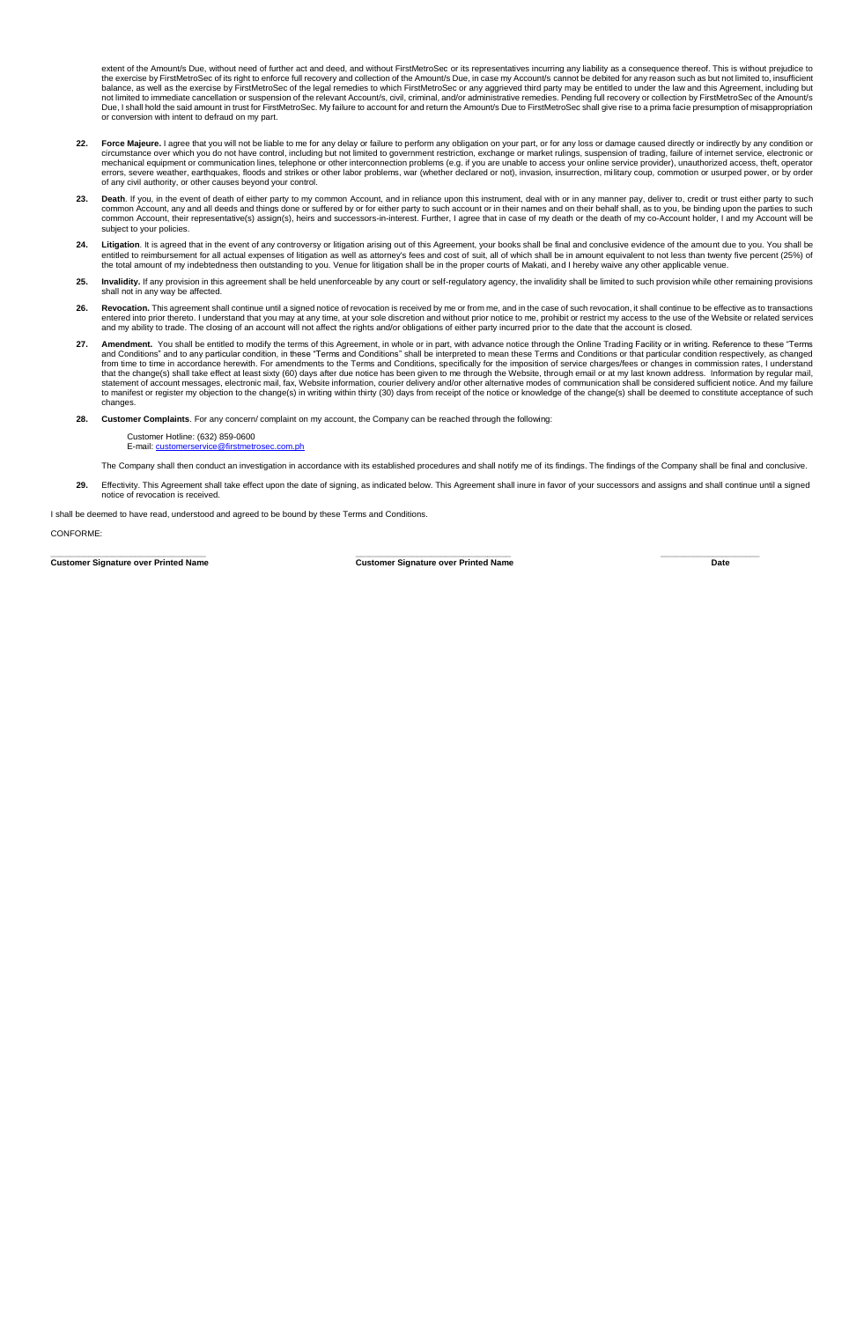extent of the Amount/s Due, without need of further act and deed, and without FirstMetroSec or its representatives incurring any liability as a consequence thereof. This is without prejudice to<br>the exercise by FirstMetroSe or conversion with intent to defraud on my part.

- 22. Force Majeure. I agree that you will not be liable to me for any delay or failure to perform any obligation on your part, or for any loss or damage caused directly or indirectly by any condition or circumstance over wh of any civil authority, or other causes beyond your control.
- 23. Death. If you, in the event of death of either party to my common Account, and in reliance upon this instrument, deal with or in any manner pay, deliver to, credit or trust either party to such common Account, any and all deeds and things done or suffered by or for either party to such account or in their names and on their behalf shall, as to you, be binding upon the parties to such<br>common Account, their represe subject to your policies
- 24. Litigation. It is agreed that in the event of any controversy or litigation arising out of this Agreement, your books shall be final and conclusive evidence of the amount due to you. You shall be the amount due to you.
- 25. Invalidity. If any provision in this agreement shall be held unenforceable by any court or self-regulatory agency, the invalidity shall be limited to such provision while other remaining provisions shall not in any way be affected.
- 26. Revocation. This agreement shall continue until a signed notice of revocation is received by me or from me, and in the case of such revocation, it shall continue to be effective as to transactions<br>entered into prior th and my ability to trade. The closing of an account will not affect the rights and/or obligations of either party incurred prior to the date that the account is closed.
- 27. Amendment. You shall be entitled to modify the terms of this Agreement, in whole or in part, with advance notice through the Online Trading Facility or in writing. Reference to these "Terms and Conditions" and to any particular condition, in these "Terms and Conditions" shall be interpreted to mean these Terms and Conditions or that particular condition respectively, as changed<br>from time to time in accordance to manifest or register my objection to the change(s) in writing within thirty (30) days from receipt of the notice or knowledge of the change(s) shall be deemed to constitute acceptance of such changes.

**28. Customer Complaints**. For any concern/ complaint on my account, the Company can be reached through the following:

Customer Hotline: (632) 859-0600 E-mail: cu

- The Company shall then conduct an investigation in accordance with its established procedures and shall notify me of its findings. The findings of the Company shall be final and conclusive.
- 29. Effectivity. This Agreement shall take effect upon the date of signing, as indicated below. This Agreement shall inure in favor of your successors and assigns and shall continue until a signed notice of revocation is received.

I shall be deemed to have read, understood and agreed to be bound by these Terms and Conditions.

CONFORME:

**\_\_\_\_\_\_\_\_\_\_\_\_\_\_\_\_\_\_\_\_\_\_\_\_\_\_\_\_\_\_\_\_\_ \_\_\_\_\_\_\_\_\_\_\_\_\_\_\_\_\_\_\_\_\_\_\_\_\_\_\_\_\_\_\_\_\_ \_\_\_\_\_\_\_\_\_\_\_\_\_\_\_\_\_\_\_\_\_ Customer Signature over Printed Name Customer Signature over Printed Name Date**